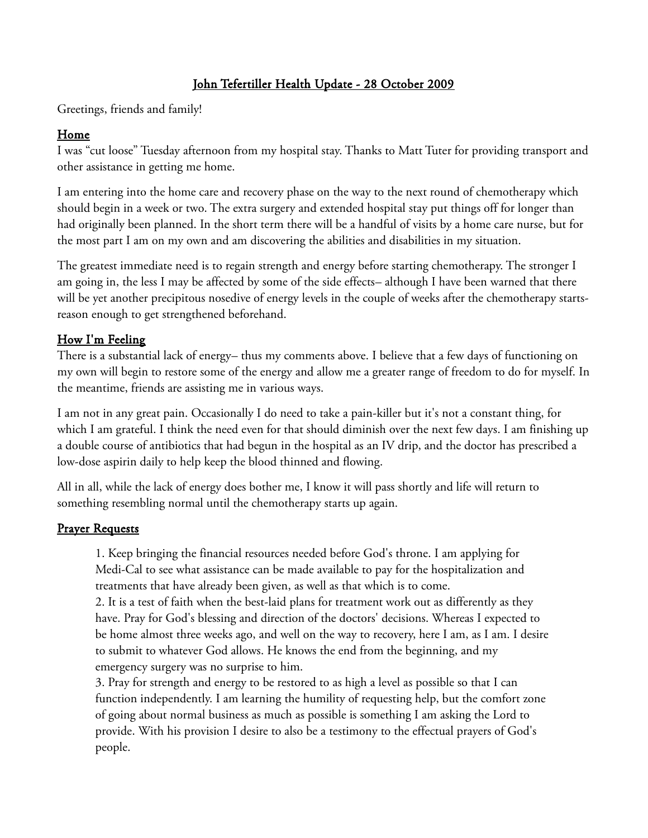# John Tefertiller Health Update - 28 October 2009

Greetings, friends and family!

## Home

I was "cut loose" Tuesday afternoon from my hospital stay. Thanks to Matt Tuter for providing transport and other assistance in getting me home.

I am entering into the home care and recovery phase on the way to the next round of chemotherapy which should begin in a week or two. The extra surgery and extended hospital stay put things off for longer than had originally been planned. In the short term there will be a handful of visits by a home care nurse, but for the most part I am on my own and am discovering the abilities and disabilities in my situation.

The greatest immediate need is to regain strength and energy before starting chemotherapy. The stronger I am going in, the less I may be affected by some of the side effects– although I have been warned that there will be yet another precipitous nosedive of energy levels in the couple of weeks after the chemotherapy startsreason enough to get strengthened beforehand.

# How I'm Feeling

There is a substantial lack of energy– thus my comments above. I believe that a few days of functioning on my own will begin to restore some of the energy and allow me a greater range of freedom to do for myself. In the meantime, friends are assisting me in various ways.

I am not in any great pain. Occasionally I do need to take a pain-killer but it's not a constant thing, for which I am grateful. I think the need even for that should diminish over the next few days. I am finishing up a double course of antibiotics that had begun in the hospital as an IV drip, and the doctor has prescribed a low-dose aspirin daily to help keep the blood thinned and flowing.

All in all, while the lack of energy does bother me, I know it will pass shortly and life will return to something resembling normal until the chemotherapy starts up again.

## **Prayer Requests**

1. Keep bringing the financial resources needed before God's throne. I am applying for Medi-Cal to see what assistance can be made available to pay for the hospitalization and treatments that have already been given, as well as that which is to come.

2. It is a test of faith when the best-laid plans for treatment work out as differently as they have. Pray for God's blessing and direction of the doctors' decisions. Whereas I expected to be home almost three weeks ago, and well on the way to recovery, here I am, as I am. I desire to submit to whatever God allows. He knows the end from the beginning, and my emergency surgery was no surprise to him.

3. Pray for strength and energy to be restored to as high a level as possible so that I can function independently. I am learning the humility of requesting help, but the comfort zone of going about normal business as much as possible is something I am asking the Lord to provide. With his provision I desire to also be a testimony to the effectual prayers of God's people.